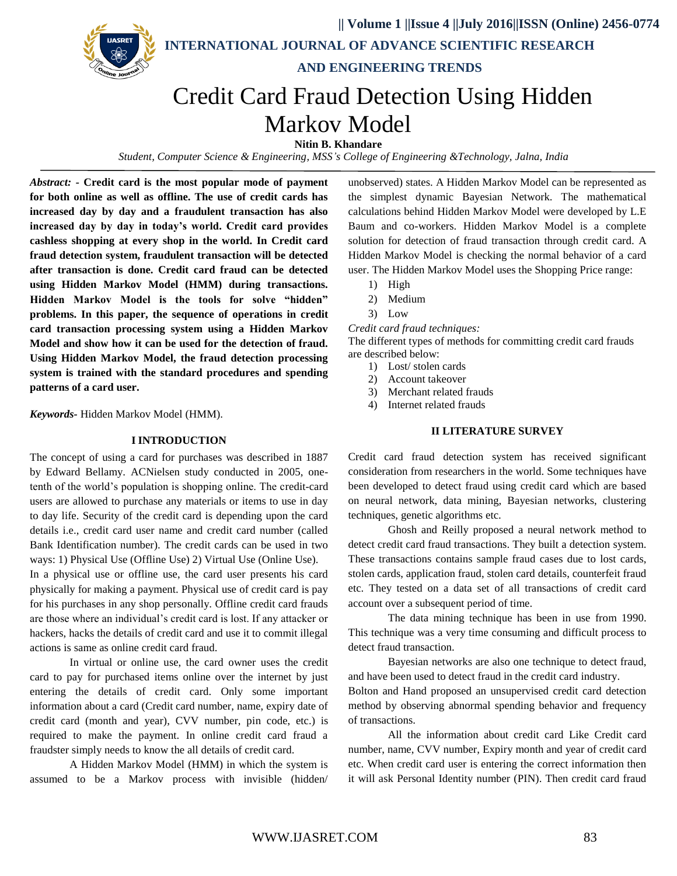

*Student, Computer Science & Engineering, MSS's College of Engineering &Technology, Jalna, India*

*Abstract: -* **Credit card is the most popular mode of payment for both online as well as offline. The use of credit cards has increased day by day and a fraudulent transaction has also increased day by day in today's world. Credit card provides cashless shopping at every shop in the world. In Credit card fraud detection system, fraudulent transaction will be detected after transaction is done. Credit card fraud can be detected using Hidden Markov Model (HMM) during transactions. Hidden Markov Model is the tools for solve "hidden" problems. In this paper, the sequence of operations in credit card transaction processing system using a Hidden Markov Model and show how it can be used for the detection of fraud. Using Hidden Markov Model, the fraud detection processing system is trained with the standard procedures and spending patterns of a card user.**

*Keywords-* Hidden Markov Model (HMM).

#### **I INTRODUCTION**

The concept of using a card for purchases was described in 1887 by Edward Bellamy. ACNielsen study conducted in 2005, onetenth of the world's population is shopping online. The credit-card users are allowed to purchase any materials or items to use in day to day life. Security of the credit card is depending upon the card details i.e., credit card user name and credit card number (called Bank Identification number). The credit cards can be used in two ways: 1) Physical Use (Offline Use) 2) Virtual Use (Online Use).

In a physical use or offline use, the card user presents his card physically for making a payment. Physical use of credit card is pay for his purchases in any shop personally. Offline credit card frauds are those where an individual's credit card is lost. If any attacker or hackers, hacks the details of credit card and use it to commit illegal actions is same as online credit card fraud.

In virtual or online use, the card owner uses the credit card to pay for purchased items online over the internet by just entering the details of credit card. Only some important information about a card (Credit card number, name, expiry date of credit card (month and year), CVV number, pin code, etc.) is required to make the payment. In online credit card fraud a fraudster simply needs to know the all details of credit card.

A Hidden Markov Model (HMM) in which the system is assumed to be a Markov process with invisible (hidden/ unobserved) states. A Hidden Markov Model can be represented as the simplest dynamic Bayesian Network. The mathematical calculations behind Hidden Markov Model were developed by L.E Baum and co-workers. Hidden Markov Model is a complete solution for detection of fraud transaction through credit card. A Hidden Markov Model is checking the normal behavior of a card user. The Hidden Markov Model uses the Shopping Price range:

- 1) High
- 2) Medium
- 3) Low

*Credit card fraud techniques:*

The different types of methods for committing credit card frauds are described below:

- 1) Lost/ stolen cards
- 2) Account takeover
- 3) Merchant related frauds
- 4) Internet related frauds

#### **II LITERATURE SURVEY**

Credit card fraud detection system has received significant consideration from researchers in the world. Some techniques have been developed to detect fraud using credit card which are based on neural network, data mining, Bayesian networks, clustering techniques, genetic algorithms etc.

Ghosh and Reilly proposed a neural network method to detect credit card fraud transactions. They built a detection system. These transactions contains sample fraud cases due to lost cards, stolen cards, application fraud, stolen card details, counterfeit fraud etc. They tested on a data set of all transactions of credit card account over a subsequent period of time.

The data mining technique has been in use from 1990. This technique was a very time consuming and difficult process to detect fraud transaction.

Bayesian networks are also one technique to detect fraud, and have been used to detect fraud in the credit card industry.

Bolton and Hand proposed an unsupervised credit card detection method by observing abnormal spending behavior and frequency of transactions.

All the information about credit card Like Credit card number, name, CVV number, Expiry month and year of credit card etc. When credit card user is entering the correct information then it will ask Personal Identity number (PIN). Then credit card fraud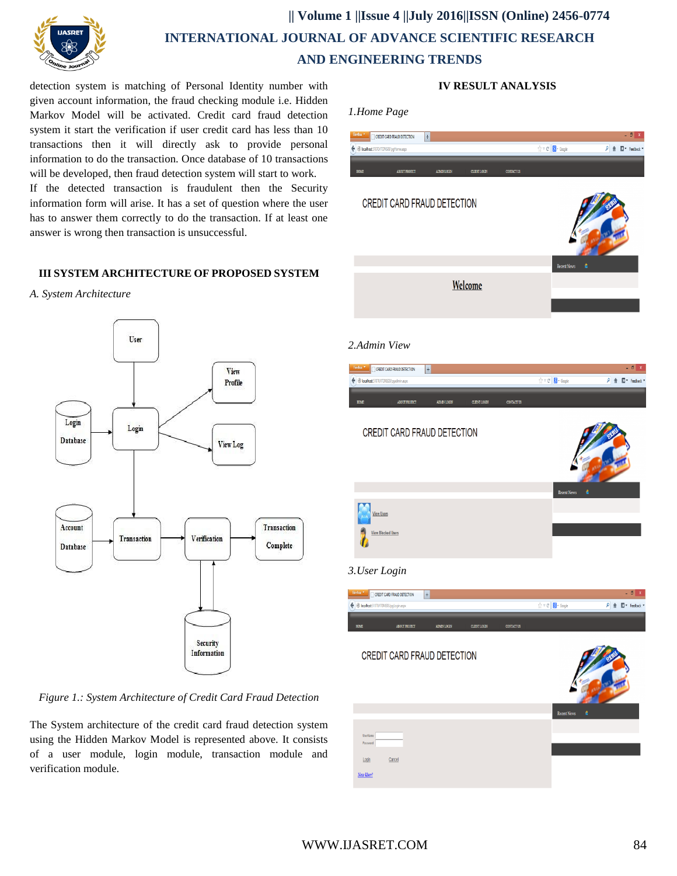

## **|| Volume 1 ||Issue 4 ||July 2016||ISSN (Online) 2456-0774 INTERNATIONAL JOURNAL OF ADVANCE SCIENTIFIC RESEARCH AND ENGINEERING TRENDS**

detection system is matching of Personal Identity number with given account information, the fraud checking module i.e. Hidden Markov Model will be activated. Credit card fraud detection system it start the verification if user credit card has less than 10 transactions then it will directly ask to provide personal information to do the transaction. Once database of 10 transactions will be developed, then fraud detection system will start to work.

If the detected transaction is fraudulent then the Security information form will arise. It has a set of question where the user has to answer them correctly to do the transaction. If at least one answer is wrong then transaction is unsuccessful.

## **III SYSTEM ARCHITECTURE OF PROPOSED SYSTEM**





*Figure 1.: System Architecture of Credit Card Fraud Detection*

The System architecture of the credit card fraud detection system using the Hidden Markov Model is represented above. It consists of a user module, login module, transaction module and verification module.

| 1.Home Page                                                                                    |                                                            |                                        |
|------------------------------------------------------------------------------------------------|------------------------------------------------------------|----------------------------------------|
| CREDIT CARD FRAUD DETECTION<br>$\begin{array}{c} + \end{array}$                                |                                                            | - 8 x                                  |
| + @ localhost:51070/1TDNS03/pgHome.aspx                                                        | $\uparrow$ $\uparrow$ $\sigma$ $\blacksquare$ Grogle       | P 俞 图* Feedback *                      |
| ADMINILOGIN<br>CONTACT US<br>${\tt HONE}$<br>ABOUT PROJECT<br>CLIENT LOGEN                     |                                                            |                                        |
| CREDIT CARD FRAUD DETECTION                                                                    |                                                            |                                        |
| Welcome                                                                                        | <b>Recent News</b>                                         |                                        |
| 2.Admin View                                                                                   |                                                            |                                        |
| CREDIT CARD FRAUD DETECTION<br>$\frac{1}{2}$<br>+ @ localhost51070/ITDNS03/pgadmin.aspx        | $\uparrow \uparrow \vee \emptyset$   $\bigotimes$ + Google | - 8<br>$\rho \triangleq \Box$ Feedback |
|                                                                                                |                                                            |                                        |
| ${\tt BOME}$<br>ABOUT PROJECT<br><b>ADMINILOGIN</b><br><b>CLEVT LOGIN</b><br><b>CONTACT US</b> |                                                            |                                        |
| CREDIT CARD FRAUD DETECTION                                                                    | <b>Recent News</b>                                         |                                        |
|                                                                                                |                                                            |                                        |
| <b>View Users</b><br><b>View Blocked Users</b>                                                 |                                                            |                                        |
| 3. User Login                                                                                  |                                                            |                                        |
| <b>Firefox * THE CREDIT CARD FRAUD DETECTION</b><br>$\pm$                                      |                                                            | $-0x$                                  |
| + @ localhost:51070/1TDNS03/pgLogin.aspx                                                       | $\uparrow$ $\vee$ C $\blacksquare$ Google                  | P 俞 图* Feedback *                      |
| ABOUT PROJECT<br>ADMINICARN<br>${\tt CLENT LOGN}$<br><b>CONTACT US</b><br>HOME                 |                                                            |                                        |
| CREDIT CARD FRAUD DETECTION                                                                    |                                                            |                                        |
|                                                                                                | Recent News                                                |                                        |
| UserName<br>Password                                                                           |                                                            |                                        |
| Cancel<br>$L$ ogin                                                                             |                                                            |                                        |
| New User?                                                                                      |                                                            |                                        |

## **IV RESULT ANALYSIS**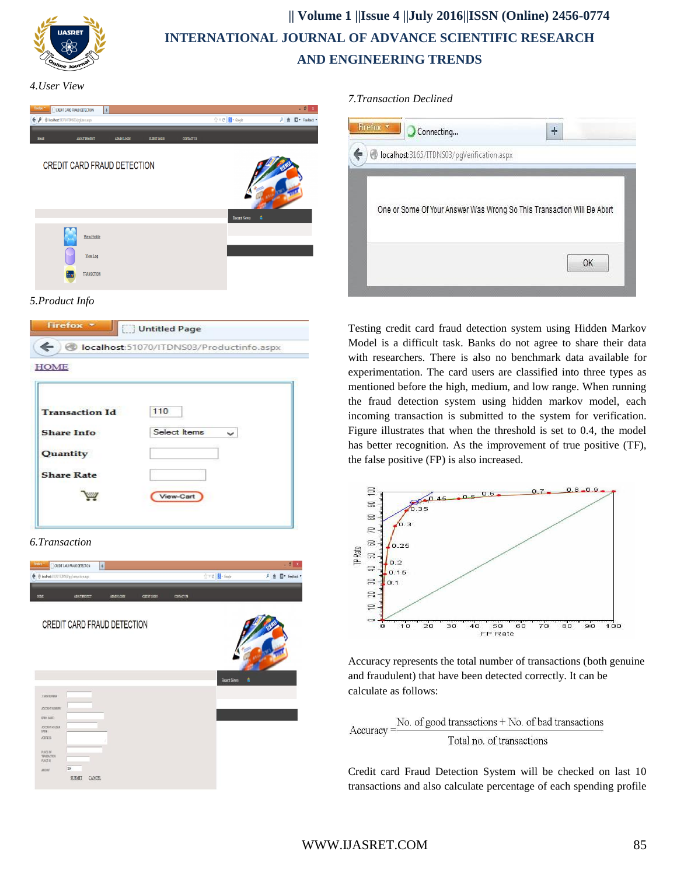

# **|| Volume 1 ||Issue 4 ||July 2016||ISSN (Online) 2456-0774 INTERNATIONAL JOURNAL OF ADVANCE SCIENTIFIC RESEARCH AND ENGINEERING TRENDS**

*4.User View*

| Firefox *<br>CREDIT CARD FRAUD DETECTION  | $\left  + \right $  |              |              |                   |                                 | $ \theta$<br>$\boldsymbol{\mathsf{x}}$ |
|-------------------------------------------|---------------------|--------------|--------------|-------------------|---------------------------------|----------------------------------------|
| ← ♪ @ localhost51070/ITDNS03/pgUsers.aspx |                     |              |              |                   | ☆ v C   <mark>N</mark> + Google | $\rho$<br><sup>7</sup> Feedback *<br>合 |
| HOME                                      | ABOUT PROJECT       | ADMINIUX CEN | CLIENT LOGIN | <b>CONTACT US</b> |                                 |                                        |
| <b>CREDIT CARD FRAUD DETECTION</b>        |                     |              |              |                   |                                 |                                        |
|                                           |                     |              |              |                   | <b>Recent News</b>              | ė                                      |
|                                           | <b>View Profile</b> |              |              |                   |                                 |                                        |
|                                           | View Log            |              |              |                   |                                 |                                        |
|                                           | <b>TRANSCTION</b>   |              |              |                   |                                 |                                        |

## *5.Product Info*



| <b>Transaction Id</b> | 110          |
|-----------------------|--------------|
| <b>Share Info</b>     | Select Items |
| Quantity              |              |
| <b>Share Rate</b>     |              |
|                       | View-Cart    |

## *6.Transaction*



### *7.Transaction Declined*

| Firefox <b>v</b> | Connecting |                                            | 4                                                                      |
|------------------|------------|--------------------------------------------|------------------------------------------------------------------------|
|                  |            | localhost:3165/ITDNS03/pgVerification.aspx |                                                                        |
|                  |            |                                            |                                                                        |
|                  |            |                                            |                                                                        |
|                  |            |                                            |                                                                        |
|                  |            |                                            | One or Some Of Your Answer Was Wrong So This Transaction Will Be Abort |
|                  |            |                                            |                                                                        |
|                  |            |                                            | OK                                                                     |

Testing credit card fraud detection system using Hidden Markov Model is a difficult task. Banks do not agree to share their data with researchers. There is also no benchmark data available for experimentation. The card users are classified into three types as mentioned before the high, medium, and low range. When running the fraud detection system using hidden markov model, each incoming transaction is submitted to the system for verification. Figure illustrates that when the threshold is set to 0.4, the model has better recognition. As the improvement of true positive (TF), the false positive (FP) is also increased.



Accuracy represents the total number of transactions (both genuine and fraudulent) that have been detected correctly. It can be calculate as follows:

No. of good transactions + No. of bad transactions  $Accuracy =$ Total no. of transactions

Credit card Fraud Detection System will be checked on last 10 transactions and also calculate percentage of each spending profile